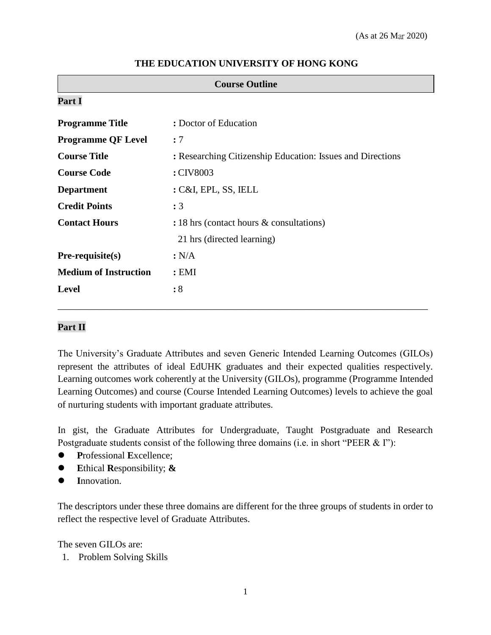| <b>Course Outline</b>        |                                                            |  |  |
|------------------------------|------------------------------------------------------------|--|--|
| Part I                       |                                                            |  |  |
| <b>Programme Title</b>       | : Doctor of Education                                      |  |  |
| <b>Programme QF Level</b>    | : 7                                                        |  |  |
| <b>Course Title</b>          | : Researching Citizenship Education: Issues and Directions |  |  |
| <b>Course Code</b>           | : CIV8003                                                  |  |  |
| <b>Department</b>            | : C&I, EPL, SS, IELL                                       |  |  |
| <b>Credit Points</b>         | : 3                                                        |  |  |
| <b>Contact Hours</b>         | : 18 hrs (contact hours $\&$ consultations)                |  |  |
|                              | 21 hrs (directed learning)                                 |  |  |
| $Pre-requisite(s)$           | : N/A                                                      |  |  |
| <b>Medium of Instruction</b> | : EMI                                                      |  |  |
| <b>Level</b>                 | :8                                                         |  |  |

### **THE EDUCATION UNIVERSITY OF HONG KONG**

# **Part II**

The University's Graduate Attributes and seven Generic Intended Learning Outcomes (GILOs) represent the attributes of ideal EdUHK graduates and their expected qualities respectively. Learning outcomes work coherently at the University (GILOs), programme (Programme Intended Learning Outcomes) and course (Course Intended Learning Outcomes) levels to achieve the goal of nurturing students with important graduate attributes.

\_\_\_\_\_\_\_\_\_\_\_\_\_\_\_\_\_\_\_\_\_\_\_\_\_\_\_\_\_\_\_\_\_\_\_\_\_\_\_\_\_\_\_\_\_\_\_\_\_\_\_\_\_\_\_\_\_\_\_\_\_\_\_\_\_\_\_\_\_\_\_\_\_\_\_\_\_

In gist, the Graduate Attributes for Undergraduate, Taught Postgraduate and Research Postgraduate students consist of the following three domains (i.e. in short "PEER & I"):

- **P**rofessional **E**xcellence;
- **E**thical **R**esponsibility; **&**
- **I**nnovation.

The descriptors under these three domains are different for the three groups of students in order to reflect the respective level of Graduate Attributes.

The seven GILOs are:

1. Problem Solving Skills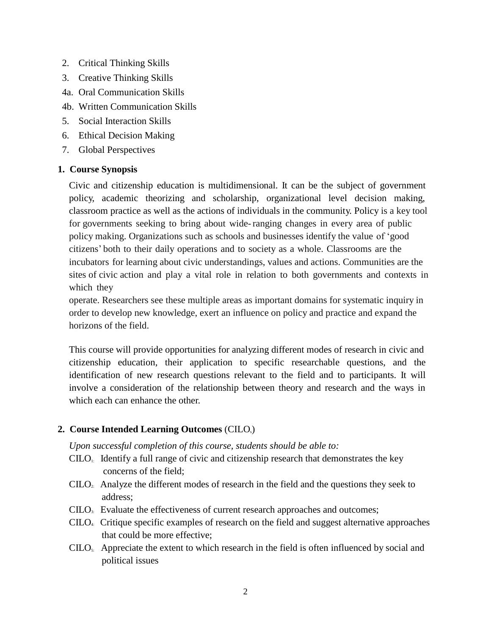- 2. Critical Thinking Skills
- 3. Creative Thinking Skills
- 4a. Oral Communication Skills
- 4b. Written Communication Skills
- 5. Social Interaction Skills
- 6. Ethical Decision Making
- 7. Global Perspectives

# **1. Course Synopsis**

Civic and citizenship education is multidimensional. It can be the subject of government policy, academic theorizing and scholarship, organizational level decision making, classroom practice as well as the actions of individuals in the community. Policy is a key tool for governments seeking to bring about wide-ranging changes in every area of public policy making. Organizations such as schools and businesses identify the value of 'good citizens' both to their daily operations and to society as a whole. Classrooms are the incubators for learning about civic understandings, values and actions. Communities are the sites of civic action and play a vital role in relation to both governments and contexts in which they

operate. Researchers see these multiple areas as important domains for systematic inquiry in order to develop new knowledge, exert an influence on policy and practice and expand the horizons of the field.

This course will provide opportunities for analyzing different modes of research in civic and citizenship education, their application to specific researchable questions, and the identification of new research questions relevant to the field and to participants. It will involve a consideration of the relationship between theory and research and the ways in which each can enhance the other.

# 2. Course Intended Learning Outcomes (CILO<sub>s</sub>)

*Upon successful completion of this course, students should be able to:*

- $C<sub>II</sub>$ . Identify a full range of civic and citizenship research that demonstrates the key concerns of the field;
- $CLLO<sub>2</sub>$ . Analyze the different modes of research in the field and the questions they seek to address;
- CILO3: Evaluate the effectiveness of current research approaches and outcomes;
- $CILO<sub>4</sub>$ . Critique specific examples of research on the field and suggest alternative approaches that could be more effective;
- $CILO<sub>5</sub>$ . Appreciate the extent to which research in the field is often influenced by social and political issues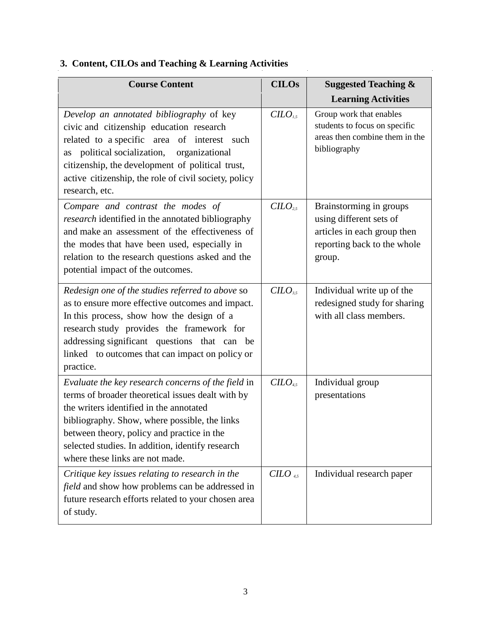| <b>Course Content</b>                                                                                                                                                                                                                                                                                                                    | <b>CILOs</b>           | <b>Suggested Teaching &amp;</b>                                                                                            |  |
|------------------------------------------------------------------------------------------------------------------------------------------------------------------------------------------------------------------------------------------------------------------------------------------------------------------------------------------|------------------------|----------------------------------------------------------------------------------------------------------------------------|--|
|                                                                                                                                                                                                                                                                                                                                          |                        | <b>Learning Activities</b>                                                                                                 |  |
| Develop an annotated bibliography of key<br>civic and citizenship education research<br>related to a specific area of interest such<br>political socialization,<br>organizational<br>as<br>citizenship, the development of political trust,<br>active citizenship, the role of civil society, policy<br>research, etc.                   | $C$                    | Group work that enables<br>students to focus on specific<br>areas then combine them in the<br>bibliography                 |  |
| Compare and contrast the modes of<br><i>research</i> identified in the annotated bibliography<br>and make an assessment of the effectiveness of<br>the modes that have been used, especially in<br>relation to the research questions asked and the<br>potential impact of the outcomes.                                                 | $C$                    | Brainstorming in groups<br>using different sets of<br>articles in each group then<br>reporting back to the whole<br>group. |  |
| Redesign one of the studies referred to above so<br>as to ensure more effective outcomes and impact.<br>In this process, show how the design of a<br>research study provides the framework for<br>addressing significant questions that can be<br>linked to outcomes that can impact on policy or<br>practice.                           | CILO <sub>3.5</sub>    | Individual write up of the<br>redesigned study for sharing<br>with all class members.                                      |  |
| Evaluate the key research concerns of the field in<br>terms of broader theoretical issues dealt with by<br>the writers identified in the annotated<br>bibliography. Show, where possible, the links<br>between theory, policy and practice in the<br>selected studies. In addition, identify research<br>where these links are not made. | $C$                    | Individual group<br>presentations                                                                                          |  |
| Critique key issues relating to research in the<br>field and show how problems can be addressed in<br>future research efforts related to your chosen area<br>of study.                                                                                                                                                                   | $C ILO$ <sub>4.5</sub> | Individual research paper                                                                                                  |  |

 $\frac{1}{2}$ 

l,

# **3. Content, CILOs and Teaching & Learning Activities**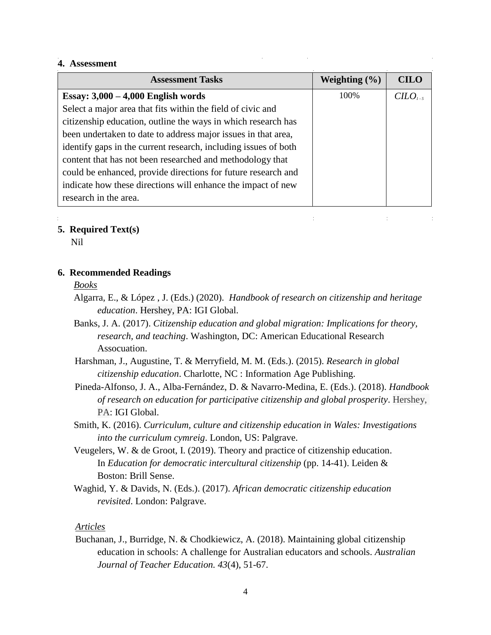#### **4. Assessment**

| 11000001110111                                                  |                   |             |
|-----------------------------------------------------------------|-------------------|-------------|
| <b>Assessment Tasks</b>                                         | Weighting $(\% )$ | <b>CILO</b> |
| Essay: $3,000 - 4,000$ English words                            | 100%              | $C$         |
| Select a major area that fits within the field of civic and     |                   |             |
| citizenship education, outline the ways in which research has   |                   |             |
| been undertaken to date to address major issues in that area,   |                   |             |
| identify gaps in the current research, including issues of both |                   |             |
| content that has not been researched and methodology that       |                   |             |
| could be enhanced, provide directions for future research and   |                   |             |
| indicate how these directions will enhance the impact of new    |                   |             |
| research in the area.                                           |                   |             |

 $\label{eq:2.1} \frac{1}{\sqrt{2}}\int_{\mathbb{R}^3}\frac{1}{\sqrt{2}}\left(\frac{1}{\sqrt{2}}\right)^2\frac{1}{\sqrt{2}}\left(\frac{1}{\sqrt{2}}\right)^2\frac{1}{\sqrt{2}}\left(\frac{1}{\sqrt{2}}\right)^2\frac{1}{\sqrt{2}}\left(\frac{1}{\sqrt{2}}\right)^2.$ 

 $\sim 10^{11}$  m

 $\mathcal{L}^{\text{max}}_{\text{max}}$  and  $\mathcal{L}^{\text{max}}_{\text{max}}$ 

 $\sim 10$ 

 $\mathcal{L}_{\rm{max}}$ 

#### **5. Required Text(s)**

Nil

#### **6. Recommended Readings**

#### *Books*

- Algarra, E., & López , J. (Eds.) (2020). *Handbook of research on citizenship and heritage education*. Hershey, PA: IGI Global.
- Banks, J. A. (2017). *Citizenship education and global migration: Implications for theory, research, and teaching*. Washington, DC: American Educational Research Assocuation.
- Harshman, J., Augustine, T. & Merryfield, M. M. (Eds.). (2015). *Research in global citizenship education*. Charlotte, NC : Information Age Publishing.
- Pineda-Alfonso, J. A., Alba-Fernández, D. & Navarro-Medina, E. (Eds.). (2018). *Handbook of research on education for participative citizenship and global prosperity*. Hershey, PA: IGI Global.
- Smith, K. (2016). *Curriculum, culture and citizenship education in Wales: Investigations into the curriculum cymreig*. London, US: Palgrave.
- Veugelers, W. & de Groot, I. (2019). Theory and practice of citizenship education. In *Education for democratic intercultural citizenship* (pp. 14-41). Leiden & Boston: Brill Sense.
- Waghid, Y. & Davids, N. (Eds.). (2017). *African democratic citizenship education revisited*. London: Palgrave.

#### *Articles*

Buchanan, J., Burridge, N. & Chodkiewicz, A. (2018). Maintaining global citizenship education in schools: A challenge for Australian educators and schools. *Australian Journal of Teacher Education. 43*(4), 51-67.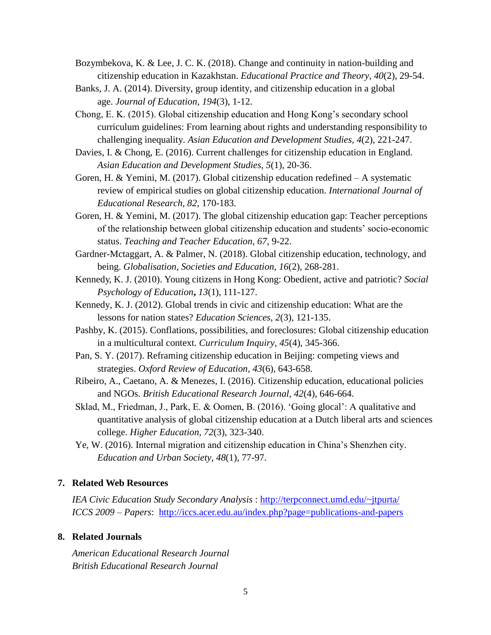- Bozymbekova, K. & Lee, J. C. K. (2018). Change and continuity in nation-building and citizenship education in Kazakhstan. *Educational Practice and Theory, 40*(2), 29-54.
- Banks, J. A. (2014). Diversity, group identity, and citizenship education in a global age. *Journal of Education, 194*(3), 1-12.
- Chong, E. K. (2015). Global citizenship education and Hong Kong's secondary school curriculum guidelines: From learning about rights and understanding responsibility to challenging inequality. *Asian Education and Development Studies, 4*(2), 221-247.
- Davies, I. & Chong, E. (2016). Current challenges for citizenship education in England. *Asian Education and Development Studies, 5*(1), 20-36.
- Goren, H. & Yemini, M. (2017). Global citizenship education redefined A systematic review of empirical studies on global citizenship education. *International Journal of Educational Research, 82*, 170-183.
- Goren, H. & Yemini, M. (2017). The global citizenship education gap: Teacher perceptions of the relationship between global citizenship education and students' socio-economic status. *Teaching and Teacher Education, 67*, 9-22.
- Gardner-Mctaggart, A. & Palmer, N. (2018). Global citizenship education, technology, and being. *Globalisation, Societies and Education, 16*(2), 268-281.
- Kennedy, K. J. (2010). Young citizens in Hong Kong: Obedient, active and patriotic? *Social Psychology of Education***,** *13*(1), 111-127.
- Kennedy, K. J. (2012). Global trends in civic and citizenship education: What are the lessons for nation states? *Education Sciences, 2*(3), 121-135.
- Pashby, K. (2015). Conflations, possibilities, and foreclosures: Global citizenship education in a multicultural context. *Curriculum Inquiry, 45*(4), 345-366.
- Pan, S. Y. (2017). Reframing citizenship education in Beijing: competing views and strategies. *Oxford Review of Education, 43*(6), 643-658.
- Ribeiro, A., Caetano, A. & Menezes, I. (2016). Citizenship education, educational policies and NGOs. *British Educational Research Journal, 42*(4), 646-664.
- Sklad, M., Friedman, J., Park, E. & Oomen, B. (2016). 'Going glocal': A qualitative and quantitative analysis of global citizenship education at a Dutch liberal arts and sciences college. *Higher Education, 72*(3), 323-340.
- Ye, W. (2016). Internal migration and citizenship education in China's Shenzhen city. *Education and Urban Society, 48*(1), 77-97.

#### **7. Related Web Resources**

*IEA Civic Education Study Secondary Analysis* :<http://terpconnect.umd.edu/~jtpurta/> *ICCS 2009 – Papers*: <http://iccs.acer.edu.au/index.php?page=publications-and-papers>

## **8. Related Journals**

*American Educational Research Journal British Educational Research Journal*